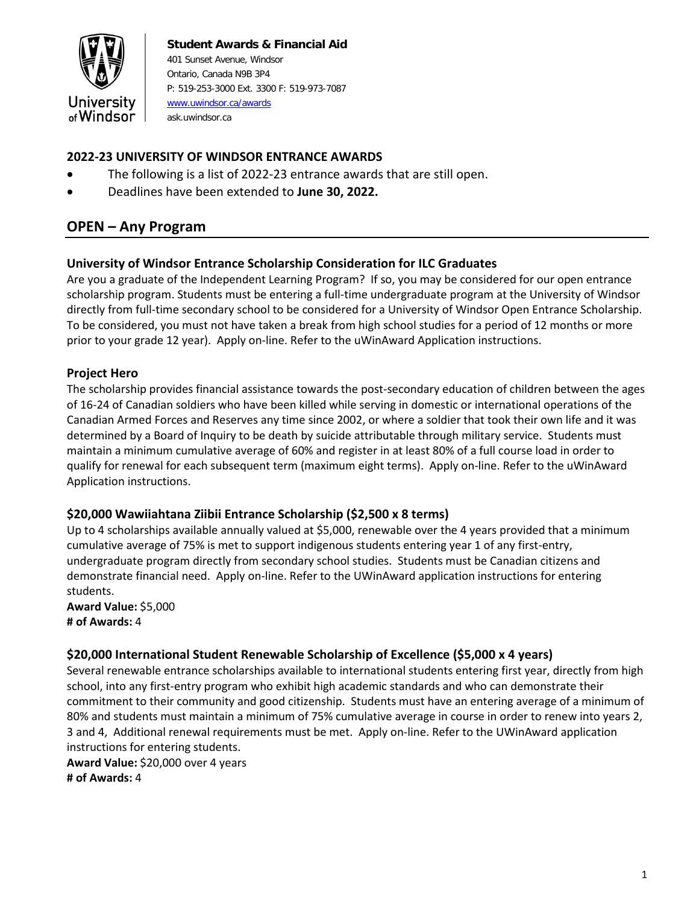

#### **Student Awards & Financial Aid** 401 Sunset Avenue, Windsor Ontario, Canada N9B 3P4 P: 519-253-3000 Ext. 3300 F: 519-973-7087 [www.uwindsor.ca/awards](http://www.uwindsor.ca/awards) ask.uwindsor.ca

# **2022-23 UNIVERSITY OF WINDSOR ENTRANCE AWARDS**

- The following is a list of 2022-23 entrance awards that are still open.
- Deadlines have been extended to **June 30, 2022.**

# **OPEN – Any Program**

### **University of Windsor Entrance Scholarship Consideration for ILC Graduates**

Are you a graduate of the Independent Learning Program? If so, you may be considered for our open entrance scholarship program. Students must be entering a full-time undergraduate program at the University of Windsor directly from full-time secondary school to be considered for a University of Windsor Open Entrance Scholarship. To be considered, you must not have taken a break from high school studies for a period of 12 months or more prior to your grade 12 year). Apply on-line. Refer to the uWinAward Application instructions.

### **Project Hero**

The scholarship provides financial assistance towards the post-secondary education of children between the ages of 16-24 of Canadian soldiers who have been killed while serving in domestic or international operations of the Canadian Armed Forces and Reserves any time since 2002, or where a soldier that took their own life and it was determined by a Board of Inquiry to be death by suicide attributable through military service. Students must maintain a minimum cumulative average of 60% and register in at least 80% of a full course load in order to qualify for renewal for each subsequent term (maximum eight terms). Apply on-line. Refer to the uWinAward Application instructions.

#### **\$20,000 Wawiiahtana Ziibii Entrance Scholarship (\$2,500 x 8 terms)**

Up to 4 scholarships available annually valued at \$5,000, renewable over the 4 years provided that a minimum cumulative average of 75% is met to support indigenous students entering year 1 of any first-entry, undergraduate program directly from secondary school studies. Students must be Canadian citizens and demonstrate financial need. Apply on-line. Refer to the UWinAward application instructions for entering students.

**Award Value:** \$5,000 **# of Awards:** 4

## **\$20,000 International Student Renewable Scholarship of Excellence (\$5,000 x 4 years)**

Several renewable entrance scholarships available to international students entering first year, directly from high school, into any first-entry program who exhibit high academic standards and who can demonstrate their commitment to their community and good citizenship. Students must have an entering average of a minimum of 80% and students must maintain a minimum of 75% cumulative average in course in order to renew into years 2, 3 and 4, Additional renewal requirements must be met. Apply on-line. Refer to the UWinAward application instructions for entering students.

**Award Value:** \$20,000 over 4 years **# of Awards:** 4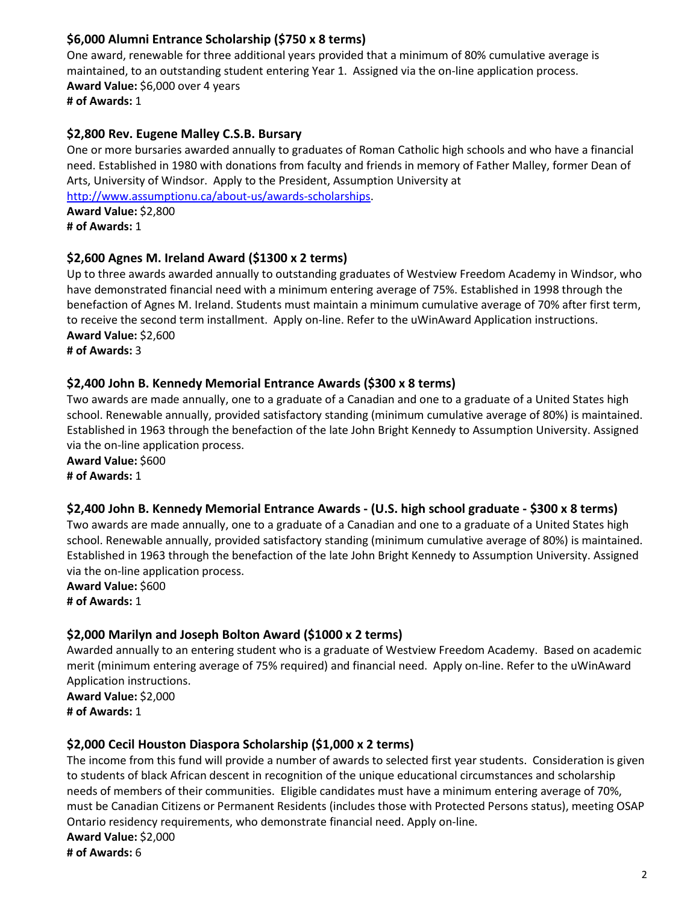## **\$6,000 Alumni Entrance Scholarship (\$750 x 8 terms)**

One award, renewable for three additional years provided that a minimum of 80% cumulative average is maintained, to an outstanding student entering Year 1. Assigned via the on-line application process. **Award Value:** \$6,000 over 4 years **# of Awards:** 1

## **\$2,800 Rev. Eugene Malley C.S.B. Bursary**

One or more bursaries awarded annually to graduates of Roman Catholic high schools and who have a financial need. Established in 1980 with donations from faculty and friends in memory of Father Malley, former Dean of Arts, University of Windsor. Apply to the President, Assumption University at [http://www.assumptionu.ca/about-us/awards-scholarships.](http://www.assumptionu.ca/about-us/awards-scholarships)

**Award Value:** \$2,800 **# of Awards:** 1

## **\$2,600 Agnes M. Ireland Award (\$1300 x 2 terms)**

Up to three awards awarded annually to outstanding graduates of Westview Freedom Academy in Windsor, who have demonstrated financial need with a minimum entering average of 75%. Established in 1998 through the benefaction of Agnes M. Ireland. Students must maintain a minimum cumulative average of 70% after first term, to receive the second term installment. Apply on-line. Refer to the uWinAward Application instructions. **Award Value:** \$2,600

**# of Awards:** 3

### **\$2,400 John B. Kennedy Memorial Entrance Awards (\$300 x 8 terms)**

Two awards are made annually, one to a graduate of a Canadian and one to a graduate of a United States high school. Renewable annually, provided satisfactory standing (minimum cumulative average of 80%) is maintained. Established in 1963 through the benefaction of the late John Bright Kennedy to Assumption University. Assigned via the on-line application process.

**Award Value:** \$600 **# of Awards:** 1

#### **\$2,400 John B. Kennedy Memorial Entrance Awards - (U.S. high school graduate - \$300 x 8 terms)**

Two awards are made annually, one to a graduate of a Canadian and one to a graduate of a United States high school. Renewable annually, provided satisfactory standing (minimum cumulative average of 80%) is maintained. Established in 1963 through the benefaction of the late John Bright Kennedy to Assumption University. Assigned via the on-line application process.

**Award Value:** \$600 **# of Awards:** 1

## **\$2,000 Marilyn and Joseph Bolton Award (\$1000 x 2 terms)**

Awarded annually to an entering student who is a graduate of Westview Freedom Academy. Based on academic merit (minimum entering average of 75% required) and financial need. Apply on-line. Refer to the uWinAward Application instructions.

**Award Value:** \$2,000 **# of Awards:** 1

## **\$2,000 Cecil Houston Diaspora Scholarship (\$1,000 x 2 terms)**

The income from this fund will provide a number of awards to selected first year students. Consideration is given to students of black African descent in recognition of the unique educational circumstances and scholarship needs of members of their communities. Eligible candidates must have a minimum entering average of 70%, must be Canadian Citizens or Permanent Residents (includes those with Protected Persons status), meeting OSAP Ontario residency requirements, who demonstrate financial need. Apply on-line. **Award Value:** \$2,000 **# of Awards:** 6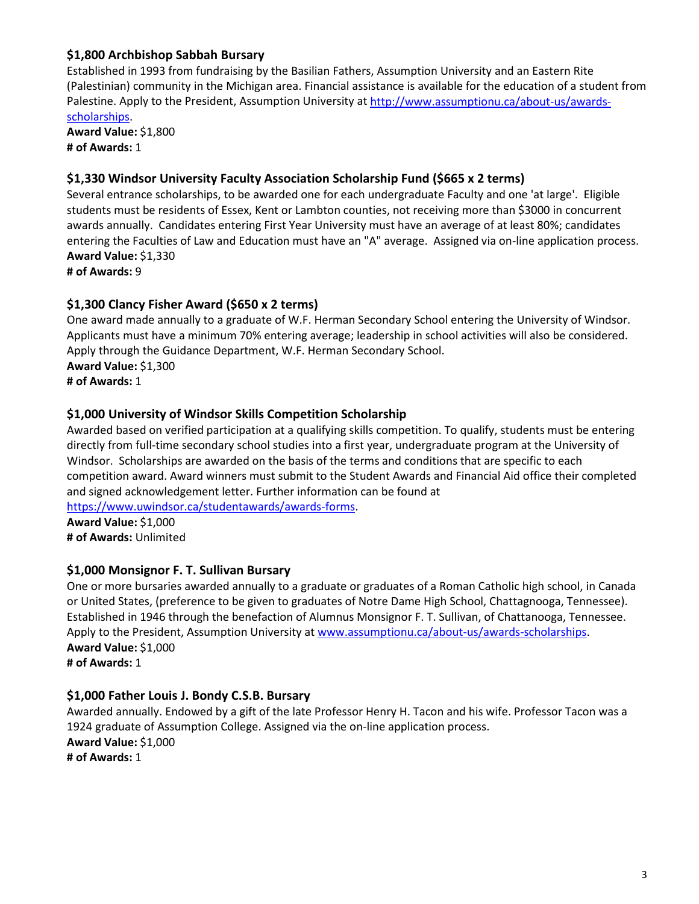### **\$1,800 Archbishop Sabbah Bursary**

Established in 1993 from fundraising by the Basilian Fathers, Assumption University and an Eastern Rite (Palestinian) community in the Michigan area. Financial assistance is available for the education of a student from Palestine. Apply to the President, Assumption University at [http://www.assumptionu.ca/about-us/awards](http://www.assumptionu.ca/about-us/awards-scholarships)[scholarships.](http://www.assumptionu.ca/about-us/awards-scholarships)

**Award Value:** \$1,800 **# of Awards:** 1

#### **\$1,330 Windsor University Faculty Association Scholarship Fund (\$665 x 2 terms)**

Several entrance scholarships, to be awarded one for each undergraduate Faculty and one 'at large'. Eligible students must be residents of Essex, Kent or Lambton counties, not receiving more than \$3000 in concurrent awards annually. Candidates entering First Year University must have an average of at least 80%; candidates entering the Faculties of Law and Education must have an "A" average. Assigned via on-line application process. **Award Value:** \$1,330

**# of Awards:** 9

### **\$1,300 Clancy Fisher Award (\$650 x 2 terms)**

One award made annually to a graduate of W.F. Herman Secondary School entering the University of Windsor. Applicants must have a minimum 70% entering average; leadership in school activities will also be considered. Apply through the Guidance Department, W.F. Herman Secondary School. **Award Value:** \$1,300 **# of Awards:** 1

#### **\$1,000 University of Windsor Skills Competition Scholarship**

Awarded based on verified participation at a qualifying skills competition. To qualify, students must be entering directly from full-time secondary school studies into a first year, undergraduate program at the University of Windsor. Scholarships are awarded on the basis of the terms and conditions that are specific to each competition award. Award winners must submit to the Student Awards and Financial Aid office their completed and signed acknowledgement letter. Further information can be found at

[https://www.uwindsor.ca/studentawards/awards-forms.](https://www.uwindsor.ca/studentawards/awards-forms)

**Award Value:** \$1,000 **# of Awards:** Unlimited

#### **\$1,000 Monsignor F. T. Sullivan Bursary**

One or more bursaries awarded annually to a graduate or graduates of a Roman Catholic high school, in Canada or United States, (preference to be given to graduates of Notre Dame High School, Chattagnooga, Tennessee). Established in 1946 through the benefaction of Alumnus Monsignor F. T. Sullivan, of Chattanooga, Tennessee. Apply to the President, Assumption University at [www.assumptionu.ca/about-us/awards-scholarships.](http://www.assumptionu.ca/about-us/awards-scholarships) **Award Value:** \$1,000 **# of Awards:** 1

#### **\$1,000 Father Louis J. Bondy C.S.B. Bursary**

Awarded annually. Endowed by a gift of the late Professor Henry H. Tacon and his wife. Professor Tacon was a 1924 graduate of Assumption College. Assigned via the on-line application process. **Award Value:** \$1,000 **# of Awards:** 1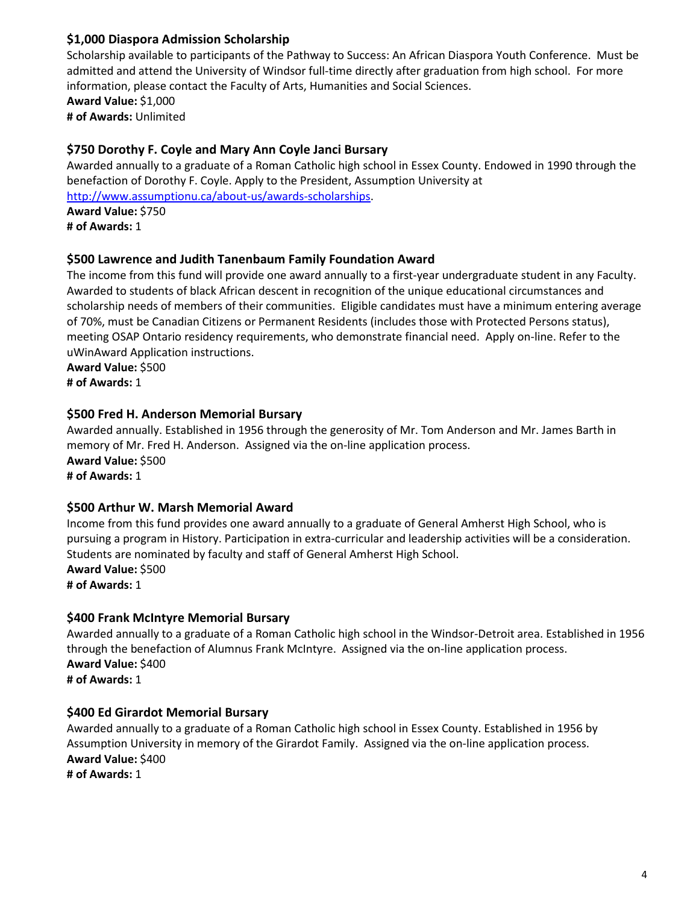### **\$1,000 Diaspora Admission Scholarship**

Scholarship available to participants of the Pathway to Success: An African Diaspora Youth Conference. Must be admitted and attend the University of Windsor full-time directly after graduation from high school. For more information, please contact the Faculty of Arts, Humanities and Social Sciences. **Award Value:** \$1,000 **# of Awards:** Unlimited

### **\$750 Dorothy F. Coyle and Mary Ann Coyle Janci Bursary**

Awarded annually to a graduate of a Roman Catholic high school in Essex County. Endowed in 1990 through the benefaction of Dorothy F. Coyle. Apply to the President, Assumption University at [http://www.assumptionu.ca/about-us/awards-scholarships.](http://www.assumptionu.ca/about-us/awards-scholarships) **Award Value:** \$750 **# of Awards:** 1

### **\$500 Lawrence and Judith Tanenbaum Family Foundation Award**

The income from this fund will provide one award annually to a first-year undergraduate student in any Faculty. Awarded to students of black African descent in recognition of the unique educational circumstances and scholarship needs of members of their communities. Eligible candidates must have a minimum entering average of 70%, must be Canadian Citizens or Permanent Residents (includes those with Protected Persons status), meeting OSAP Ontario residency requirements, who demonstrate financial need. Apply on-line. Refer to the uWinAward Application instructions.

**Award Value:** \$500 **# of Awards:** 1

#### **\$500 Fred H. Anderson Memorial Bursary**

Awarded annually. Established in 1956 through the generosity of Mr. Tom Anderson and Mr. James Barth in memory of Mr. Fred H. Anderson. Assigned via the on-line application process. **Award Value:** \$500 **# of Awards:** 1

#### **\$500 Arthur W. Marsh Memorial Award**

Income from this fund provides one award annually to a graduate of General Amherst High School, who is pursuing a program in History. Participation in extra-curricular and leadership activities will be a consideration. Students are nominated by faculty and staff of General Amherst High School. **Award Value:** \$500 **# of Awards:** 1

#### **\$400 Frank McIntyre Memorial Bursary**

Awarded annually to a graduate of a Roman Catholic high school in the Windsor-Detroit area. Established in 1956 through the benefaction of Alumnus Frank McIntyre. Assigned via the on-line application process. **Award Value:** \$400 **# of Awards:** 1

#### **\$400 Ed Girardot Memorial Bursary**

Awarded annually to a graduate of a Roman Catholic high school in Essex County. Established in 1956 by Assumption University in memory of the Girardot Family. Assigned via the on-line application process. **Award Value:** \$400 **# of Awards:** 1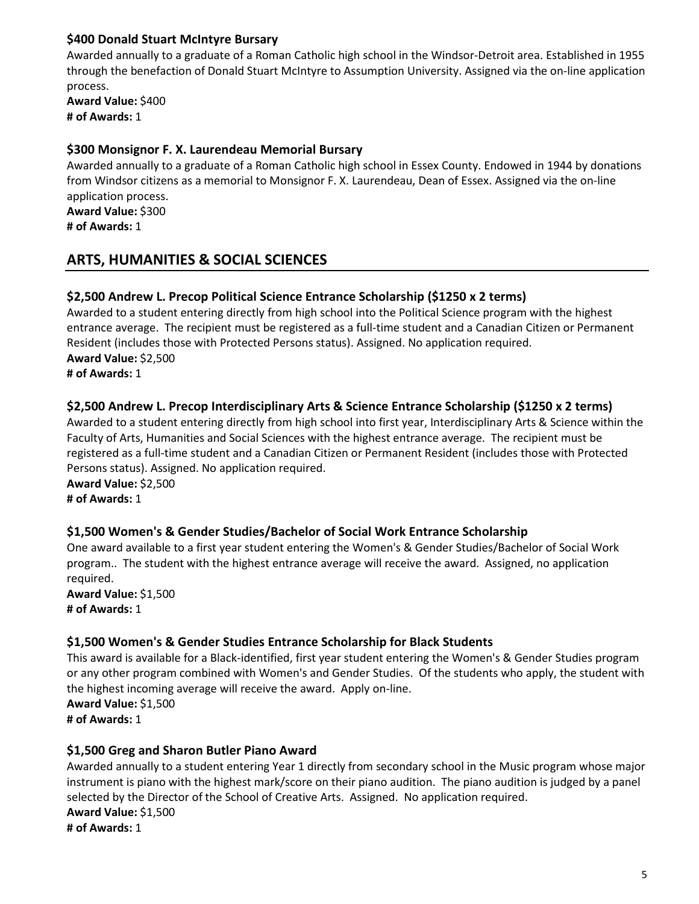#### **\$400 Donald Stuart McIntyre Bursary**

Awarded annually to a graduate of a Roman Catholic high school in the Windsor-Detroit area. Established in 1955 through the benefaction of Donald Stuart McIntyre to Assumption University. Assigned via the on-line application process.

**Award Value:** \$400 **# of Awards:** 1

### **\$300 Monsignor F. X. Laurendeau Memorial Bursary**

Awarded annually to a graduate of a Roman Catholic high school in Essex County. Endowed in 1944 by donations from Windsor citizens as a memorial to Monsignor F. X. Laurendeau, Dean of Essex. Assigned via the on-line application process. **Award Value:** \$300

**# of Awards:** 1

# **ARTS, HUMANITIES & SOCIAL SCIENCES**

### **\$2,500 Andrew L. Precop Political Science Entrance Scholarship (\$1250 x 2 terms)**

Awarded to a student entering directly from high school into the Political Science program with the highest entrance average. The recipient must be registered as a full-time student and a Canadian Citizen or Permanent Resident (includes those with Protected Persons status). Assigned. No application required. **Award Value:** \$2,500 **# of Awards:** 1

### **\$2,500 Andrew L. Precop Interdisciplinary Arts & Science Entrance Scholarship (\$1250 x 2 terms)**

Awarded to a student entering directly from high school into first year, Interdisciplinary Arts & Science within the Faculty of Arts, Humanities and Social Sciences with the highest entrance average. The recipient must be registered as a full-time student and a Canadian Citizen or Permanent Resident (includes those with Protected Persons status). Assigned. No application required.

**Award Value:** \$2,500

**# of Awards:** 1

## **\$1,500 Women's & Gender Studies/Bachelor of Social Work Entrance Scholarship**

One award available to a first year student entering the Women's & Gender Studies/Bachelor of Social Work program.. The student with the highest entrance average will receive the award. Assigned, no application required.

**Award Value:** \$1,500 **# of Awards:** 1

#### **\$1,500 Women's & Gender Studies Entrance Scholarship for Black Students**

This award is available for a Black-identified, first year student entering the Women's & Gender Studies program or any other program combined with Women's and Gender Studies. Of the students who apply, the student with the highest incoming average will receive the award. Apply on-line.

**Award Value:** \$1,500 **# of Awards:** 1

## **\$1,500 Greg and Sharon Butler Piano Award**

Awarded annually to a student entering Year 1 directly from secondary school in the Music program whose major instrument is piano with the highest mark/score on their piano audition. The piano audition is judged by a panel selected by the Director of the School of Creative Arts. Assigned. No application required. **Award Value:** \$1,500 **# of Awards:** 1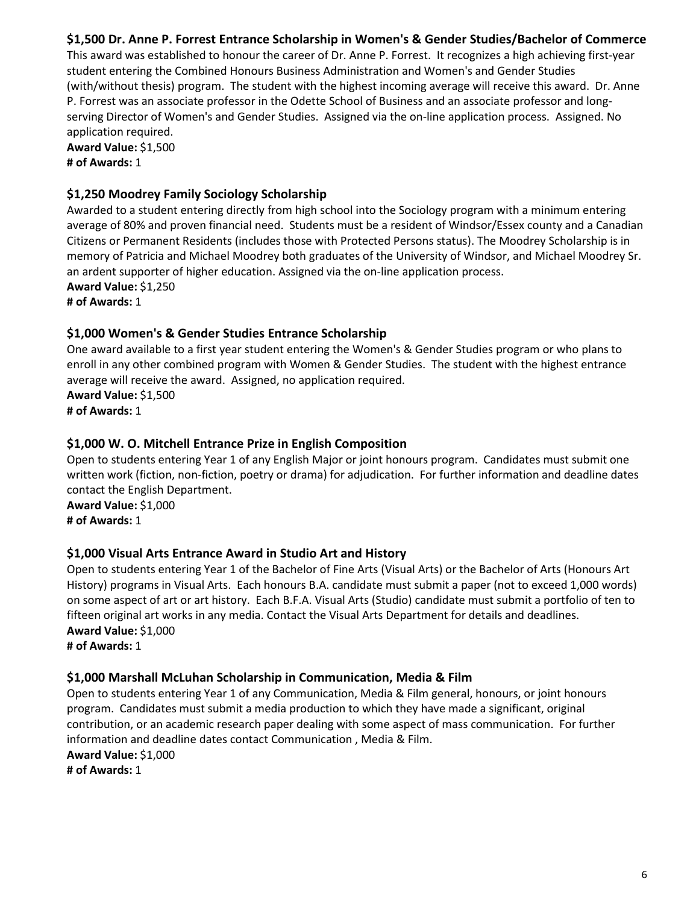### **\$1,500 Dr. Anne P. Forrest Entrance Scholarship in Women's & Gender Studies/Bachelor of Commerce**

This award was established to honour the career of Dr. Anne P. Forrest. It recognizes a high achieving first-year student entering the Combined Honours Business Administration and Women's and Gender Studies (with/without thesis) program. The student with the highest incoming average will receive this award. Dr. Anne P. Forrest was an associate professor in the Odette School of Business and an associate professor and longserving Director of Women's and Gender Studies. Assigned via the on-line application process. Assigned. No application required.

**Award Value:** \$1,500 **# of Awards:** 1

### **\$1,250 Moodrey Family Sociology Scholarship**

Awarded to a student entering directly from high school into the Sociology program with a minimum entering average of 80% and proven financial need. Students must be a resident of Windsor/Essex county and a Canadian Citizens or Permanent Residents (includes those with Protected Persons status). The Moodrey Scholarship is in memory of Patricia and Michael Moodrey both graduates of the University of Windsor, and Michael Moodrey Sr. an ardent supporter of higher education. Assigned via the on-line application process. **Award Value:** \$1,250

**# of Awards:** 1

#### **\$1,000 Women's & Gender Studies Entrance Scholarship**

One award available to a first year student entering the Women's & Gender Studies program or who plans to enroll in any other combined program with Women & Gender Studies. The student with the highest entrance average will receive the award. Assigned, no application required. **Award Value:** \$1,500

**# of Awards:** 1

### **\$1,000 W. O. Mitchell Entrance Prize in English Composition**

Open to students entering Year 1 of any English Major or joint honours program. Candidates must submit one written work (fiction, non-fiction, poetry or drama) for adjudication. For further information and deadline dates contact the English Department.

**Award Value:** \$1,000 **# of Awards:** 1

#### **\$1,000 Visual Arts Entrance Award in Studio Art and History**

Open to students entering Year 1 of the Bachelor of Fine Arts (Visual Arts) or the Bachelor of Arts (Honours Art History) programs in Visual Arts. Each honours B.A. candidate must submit a paper (not to exceed 1,000 words) on some aspect of art or art history. Each B.F.A. Visual Arts (Studio) candidate must submit a portfolio of ten to fifteen original art works in any media. Contact the Visual Arts Department for details and deadlines. **Award Value:** \$1,000

**# of Awards:** 1

#### **\$1,000 Marshall McLuhan Scholarship in Communication, Media & Film**

Open to students entering Year 1 of any Communication, Media & Film general, honours, or joint honours program. Candidates must submit a media production to which they have made a significant, original contribution, or an academic research paper dealing with some aspect of mass communication. For further information and deadline dates contact Communication , Media & Film.

**Award Value:** \$1,000 **# of Awards:** 1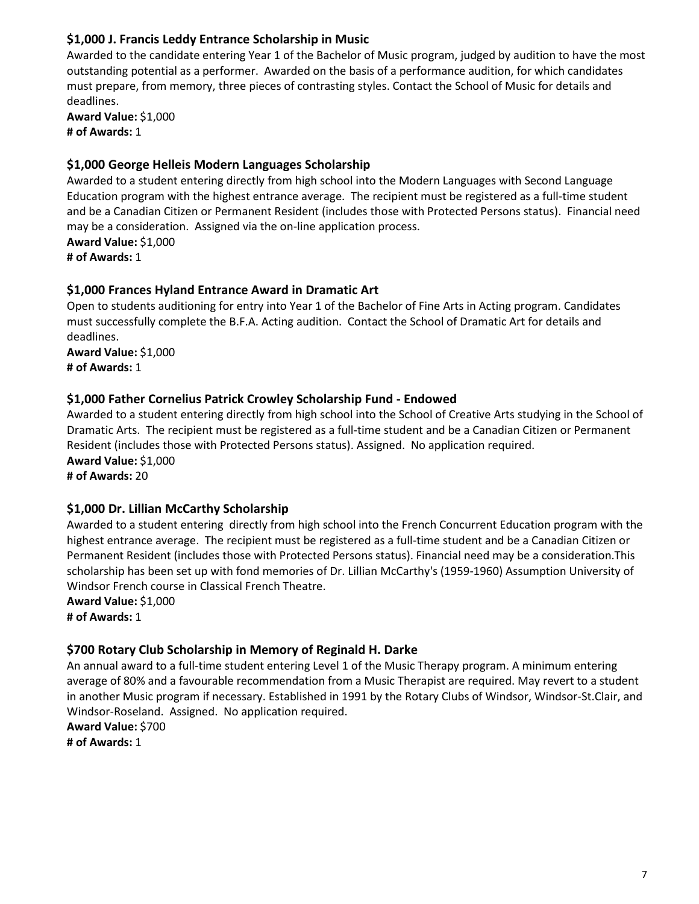### **\$1,000 J. Francis Leddy Entrance Scholarship in Music**

Awarded to the candidate entering Year 1 of the Bachelor of Music program, judged by audition to have the most outstanding potential as a performer. Awarded on the basis of a performance audition, for which candidates must prepare, from memory, three pieces of contrasting styles. Contact the School of Music for details and deadlines.

**Award Value:** \$1,000 **# of Awards:** 1

#### **\$1,000 George Helleis Modern Languages Scholarship**

Awarded to a student entering directly from high school into the Modern Languages with Second Language Education program with the highest entrance average. The recipient must be registered as a full-time student and be a Canadian Citizen or Permanent Resident (includes those with Protected Persons status). Financial need may be a consideration. Assigned via the on-line application process. **Award Value:** \$1,000 **# of Awards:** 1

### **\$1,000 Frances Hyland Entrance Award in Dramatic Art**

Open to students auditioning for entry into Year 1 of the Bachelor of Fine Arts in Acting program. Candidates must successfully complete the B.F.A. Acting audition. Contact the School of Dramatic Art for details and deadlines.

**Award Value:** \$1,000 **# of Awards:** 1

### **\$1,000 Father Cornelius Patrick Crowley Scholarship Fund - Endowed**

Awarded to a student entering directly from high school into the School of Creative Arts studying in the School of Dramatic Arts. The recipient must be registered as a full-time student and be a Canadian Citizen or Permanent Resident (includes those with Protected Persons status). Assigned. No application required. **Award Value:** \$1,000

**# of Awards:** 20

## **\$1,000 Dr. Lillian McCarthy Scholarship**

Awarded to a student entering directly from high school into the French Concurrent Education program with the highest entrance average. The recipient must be registered as a full-time student and be a Canadian Citizen or Permanent Resident (includes those with Protected Persons status). Financial need may be a consideration.This scholarship has been set up with fond memories of Dr. Lillian McCarthy's (1959-1960) Assumption University of Windsor French course in Classical French Theatre.

**Award Value:** \$1,000 **# of Awards:** 1

## **\$700 Rotary Club Scholarship in Memory of Reginald H. Darke**

An annual award to a full-time student entering Level 1 of the Music Therapy program. A minimum entering average of 80% and a favourable recommendation from a Music Therapist are required. May revert to a student in another Music program if necessary. Established in 1991 by the Rotary Clubs of Windsor, Windsor-St.Clair, and Windsor-Roseland. Assigned. No application required.

**Award Value:** \$700

**# of Awards:** 1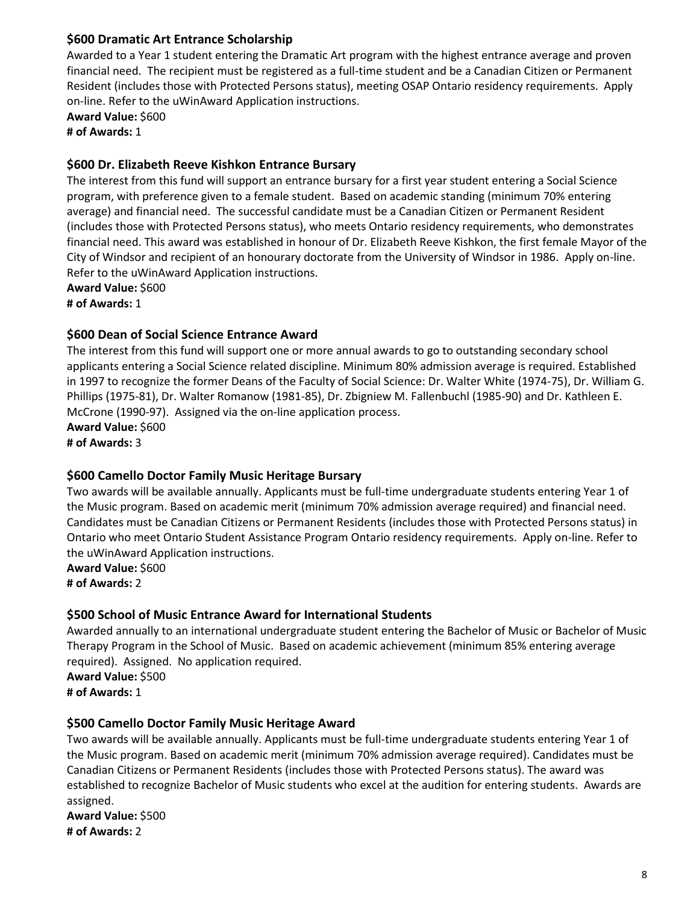#### **\$600 Dramatic Art Entrance Scholarship**

Awarded to a Year 1 student entering the Dramatic Art program with the highest entrance average and proven financial need. The recipient must be registered as a full-time student and be a Canadian Citizen or Permanent Resident (includes those with Protected Persons status), meeting OSAP Ontario residency requirements. Apply on-line. Refer to the uWinAward Application instructions.

**Award Value:** \$600 **# of Awards:** 1

#### **\$600 Dr. Elizabeth Reeve Kishkon Entrance Bursary**

The interest from this fund will support an entrance bursary for a first year student entering a Social Science program, with preference given to a female student. Based on academic standing (minimum 70% entering average) and financial need. The successful candidate must be a Canadian Citizen or Permanent Resident (includes those with Protected Persons status), who meets Ontario residency requirements, who demonstrates financial need. This award was established in honour of Dr. Elizabeth Reeve Kishkon, the first female Mayor of the City of Windsor and recipient of an honourary doctorate from the University of Windsor in 1986. Apply on-line. Refer to the uWinAward Application instructions.

**Award Value:** \$600 **# of Awards:** 1

#### **\$600 Dean of Social Science Entrance Award**

The interest from this fund will support one or more annual awards to go to outstanding secondary school applicants entering a Social Science related discipline. Minimum 80% admission average is required. Established in 1997 to recognize the former Deans of the Faculty of Social Science: Dr. Walter White (1974-75), Dr. William G. Phillips (1975-81), Dr. Walter Romanow (1981-85), Dr. Zbigniew M. Fallenbuchl (1985-90) and Dr. Kathleen E. McCrone (1990-97). Assigned via the on-line application process. **Award Value:** \$600

**# of Awards:** 3

#### **\$600 Camello Doctor Family Music Heritage Bursary**

Two awards will be available annually. Applicants must be full-time undergraduate students entering Year 1 of the Music program. Based on academic merit (minimum 70% admission average required) and financial need. Candidates must be Canadian Citizens or Permanent Residents (includes those with Protected Persons status) in Ontario who meet Ontario Student Assistance Program Ontario residency requirements. Apply on-line. Refer to the uWinAward Application instructions.

**Award Value:** \$600 **# of Awards:** 2

#### **\$500 School of Music Entrance Award for International Students**

Awarded annually to an international undergraduate student entering the Bachelor of Music or Bachelor of Music Therapy Program in the School of Music. Based on academic achievement (minimum 85% entering average required). Assigned. No application required. **Award Value:** \$500 **# of Awards:** 1

#### **\$500 Camello Doctor Family Music Heritage Award**

Two awards will be available annually. Applicants must be full-time undergraduate students entering Year 1 of the Music program. Based on academic merit (minimum 70% admission average required). Candidates must be Canadian Citizens or Permanent Residents (includes those with Protected Persons status). The award was established to recognize Bachelor of Music students who excel at the audition for entering students. Awards are assigned.

**Award Value:** \$500 **# of Awards:** 2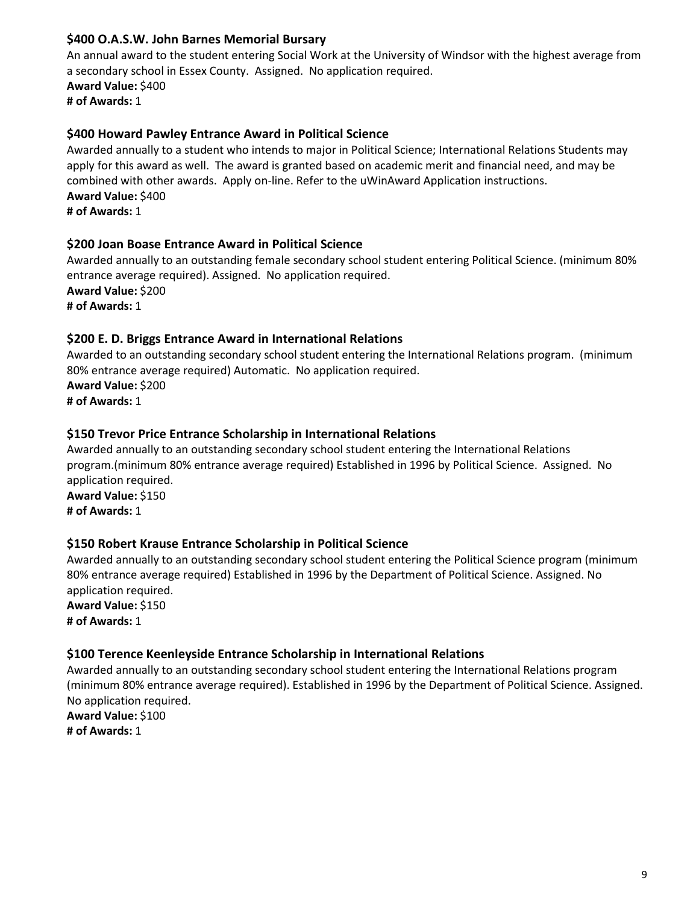#### **\$400 O.A.S.W. John Barnes Memorial Bursary**

An annual award to the student entering Social Work at the University of Windsor with the highest average from a secondary school in Essex County. Assigned. No application required. **Award Value:** \$400 **# of Awards:** 1

#### **\$400 Howard Pawley Entrance Award in Political Science**

Awarded annually to a student who intends to major in Political Science; International Relations Students may apply for this award as well. The award is granted based on academic merit and financial need, and may be combined with other awards. Apply on-line. Refer to the uWinAward Application instructions. **Award Value:** \$400 **# of Awards:** 1

#### **\$200 Joan Boase Entrance Award in Political Science**

Awarded annually to an outstanding female secondary school student entering Political Science. (minimum 80% entrance average required). Assigned. No application required. **Award Value:** \$200 **# of Awards:** 1

#### **\$200 E. D. Briggs Entrance Award in International Relations**

Awarded to an outstanding secondary school student entering the International Relations program. (minimum 80% entrance average required) Automatic. No application required. **Award Value:** \$200 **# of Awards:** 1

#### **\$150 Trevor Price Entrance Scholarship in International Relations**

Awarded annually to an outstanding secondary school student entering the International Relations program.(minimum 80% entrance average required) Established in 1996 by Political Science. Assigned. No application required.

**Award Value:** \$150 **# of Awards:** 1

#### **\$150 Robert Krause Entrance Scholarship in Political Science**

Awarded annually to an outstanding secondary school student entering the Political Science program (minimum 80% entrance average required) Established in 1996 by the Department of Political Science. Assigned. No application required.

**Award Value:** \$150 **# of Awards:** 1

#### **\$100 Terence Keenleyside Entrance Scholarship in International Relations**

Awarded annually to an outstanding secondary school student entering the International Relations program (minimum 80% entrance average required). Established in 1996 by the Department of Political Science. Assigned. No application required.

**Award Value:** \$100 **# of Awards:** 1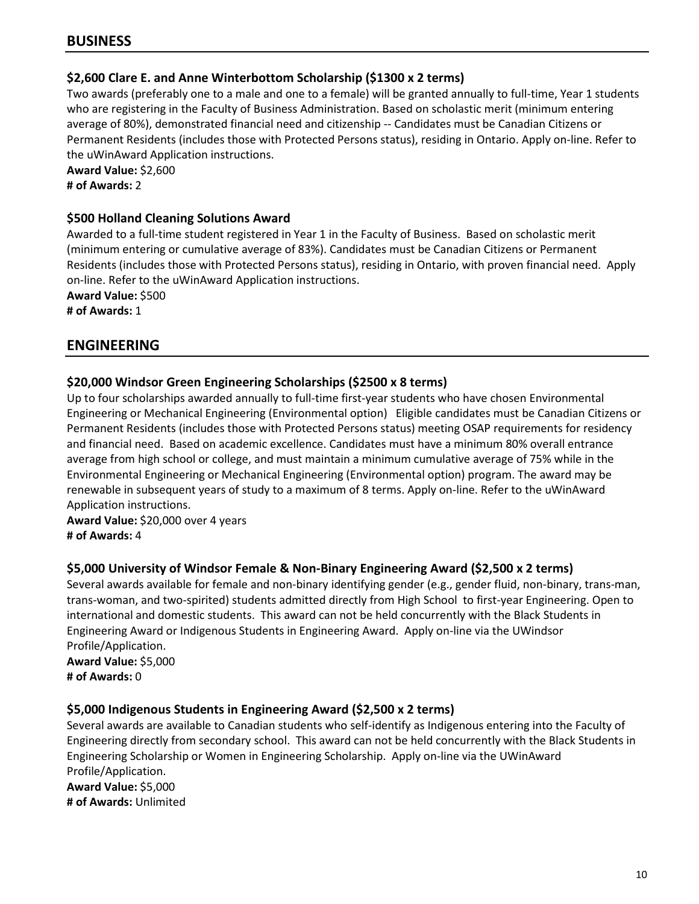### **\$2,600 Clare E. and Anne Winterbottom Scholarship (\$1300 x 2 terms)**

Two awards (preferably one to a male and one to a female) will be granted annually to full-time, Year 1 students who are registering in the Faculty of Business Administration. Based on scholastic merit (minimum entering average of 80%), demonstrated financial need and citizenship -- Candidates must be Canadian Citizens or Permanent Residents (includes those with Protected Persons status), residing in Ontario. Apply on-line. Refer to the uWinAward Application instructions.

**Award Value:** \$2,600 **# of Awards:** 2

#### **\$500 Holland Cleaning Solutions Award**

Awarded to a full-time student registered in Year 1 in the Faculty of Business. Based on scholastic merit (minimum entering or cumulative average of 83%). Candidates must be Canadian Citizens or Permanent Residents (includes those with Protected Persons status), residing in Ontario, with proven financial need. Apply on-line. Refer to the uWinAward Application instructions.

**Award Value:** \$500 **# of Awards:** 1

## **ENGINEERING**

### **\$20,000 Windsor Green Engineering Scholarships (\$2500 x 8 terms)**

Up to four scholarships awarded annually to full-time first-year students who have chosen Environmental Engineering or Mechanical Engineering (Environmental option) Eligible candidates must be Canadian Citizens or Permanent Residents (includes those with Protected Persons status) meeting OSAP requirements for residency and financial need. Based on academic excellence. Candidates must have a minimum 80% overall entrance average from high school or college, and must maintain a minimum cumulative average of 75% while in the Environmental Engineering or Mechanical Engineering (Environmental option) program. The award may be renewable in subsequent years of study to a maximum of 8 terms. Apply on-line. Refer to the uWinAward Application instructions.

**Award Value:** \$20,000 over 4 years **# of Awards:** 4

#### **\$5,000 University of Windsor Female & Non-Binary Engineering Award (\$2,500 x 2 terms)**

Several awards available for female and non-binary identifying gender (e.g., gender fluid, non-binary, trans-man, trans-woman, and two-spirited) students admitted directly from High School to first-year Engineering. Open to international and domestic students. This award can not be held concurrently with the Black Students in Engineering Award or Indigenous Students in Engineering Award. Apply on-line via the UWindsor Profile/Application.

**Award Value:** \$5,000 **# of Awards:** 0

#### **\$5,000 Indigenous Students in Engineering Award (\$2,500 x 2 terms)**

Several awards are available to Canadian students who self-identify as Indigenous entering into the Faculty of Engineering directly from secondary school. This award can not be held concurrently with the Black Students in Engineering Scholarship or Women in Engineering Scholarship. Apply on-line via the UWinAward Profile/Application.

**Award Value:** \$5,000 **# of Awards:** Unlimited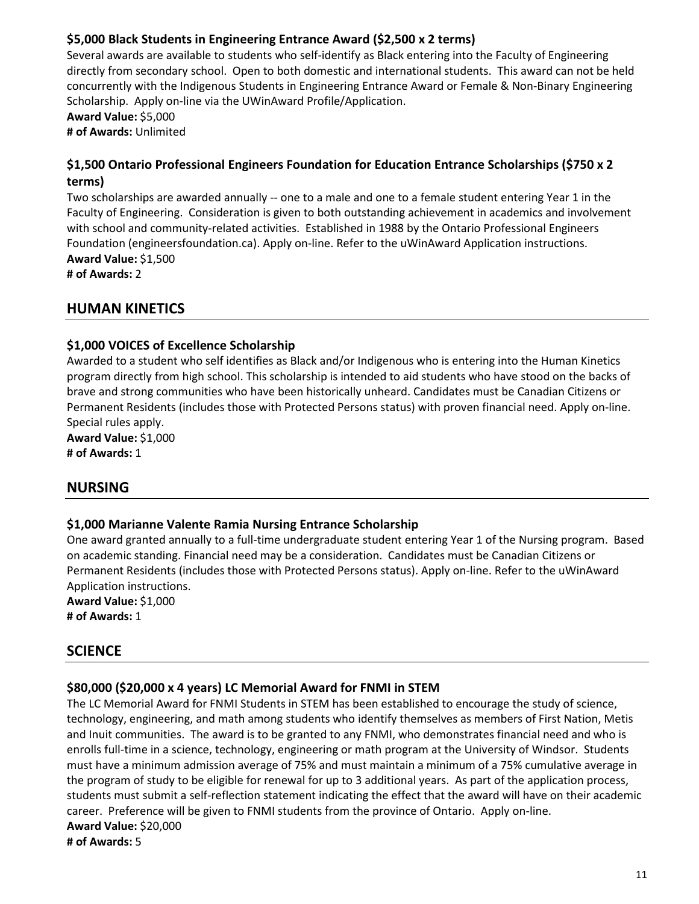### **\$5,000 Black Students in Engineering Entrance Award (\$2,500 x 2 terms)**

Several awards are available to students who self-identify as Black entering into the Faculty of Engineering directly from secondary school. Open to both domestic and international students. This award can not be held concurrently with the Indigenous Students in Engineering Entrance Award or Female & Non-Binary Engineering Scholarship. Apply on-line via the UWinAward Profile/Application.

**Award Value:** \$5,000

**# of Awards:** Unlimited

### **\$1,500 Ontario Professional Engineers Foundation for Education Entrance Scholarships (\$750 x 2 terms)**

Two scholarships are awarded annually -- one to a male and one to a female student entering Year 1 in the Faculty of Engineering. Consideration is given to both outstanding achievement in academics and involvement with school and community-related activities. Established in 1988 by the Ontario Professional Engineers Foundation (engineersfoundation.ca). Apply on-line. Refer to the uWinAward Application instructions. **Award Value:** \$1,500

**# of Awards:** 2

## **HUMAN KINETICS**

#### **\$1,000 VOICES of Excellence Scholarship**

Awarded to a student who self identifies as Black and/or Indigenous who is entering into the Human Kinetics program directly from high school. This scholarship is intended to aid students who have stood on the backs of brave and strong communities who have been historically unheard. Candidates must be Canadian Citizens or Permanent Residents (includes those with Protected Persons status) with proven financial need. Apply on-line. Special rules apply.

**Award Value:** \$1,000 **# of Awards:** 1

## **NURSING**

#### **\$1,000 Marianne Valente Ramia Nursing Entrance Scholarship**

One award granted annually to a full-time undergraduate student entering Year 1 of the Nursing program. Based on academic standing. Financial need may be a consideration. Candidates must be Canadian Citizens or Permanent Residents (includes those with Protected Persons status). Apply on-line. Refer to the uWinAward Application instructions.

**Award Value:** \$1,000 **# of Awards:** 1

## **SCIENCE**

#### **\$80,000 (\$20,000 x 4 years) LC Memorial Award for FNMI in STEM**

The LC Memorial Award for FNMI Students in STEM has been established to encourage the study of science, technology, engineering, and math among students who identify themselves as members of First Nation, Metis and Inuit communities. The award is to be granted to any FNMI, who demonstrates financial need and who is enrolls full-time in a science, technology, engineering or math program at the University of Windsor. Students must have a minimum admission average of 75% and must maintain a minimum of a 75% cumulative average in the program of study to be eligible for renewal for up to 3 additional years. As part of the application process, students must submit a self-reflection statement indicating the effect that the award will have on their academic career. Preference will be given to FNMI students from the province of Ontario. Apply on-line. **Award Value:** \$20,000 **# of Awards:** 5